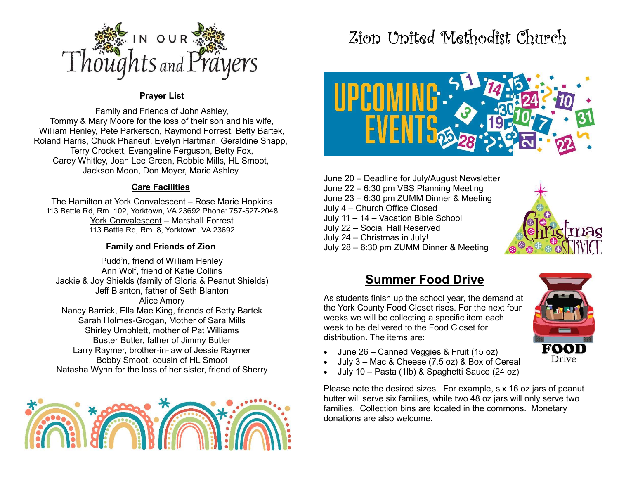

### Prayer List

Family and Friends of John Ashley, Tommy & Mary Moore for the loss of their son and his wife, William Henley, Pete Parkerson, Raymond Forrest, Betty Bartek, Roland Harris, Chuck Phaneuf, Evelyn Hartman, Geraldine Snapp, Terry Crockett, Evangeline Ferguson, Betty Fox, Carey Whitley, Joan Lee Green, Robbie Mills, HL Smoot, Jackson Moon, Don Moyer, Marie Ashley

#### Care Facilities

The Hamilton at York Convalescent – Rose Marie Hopkins 113 Battle Rd, Rm. 102, Yorktown, VA 23692 Phone: 757-527-2048 York Convalescent – Marshall Forrest 113 Battle Rd, Rm. 8, Yorktown, VA 23692

### Family and Friends of Zion

Pudd'n, friend of William Henley Ann Wolf, friend of Katie Collins Jackie & Joy Shields (family of Gloria & Peanut Shields) Jeff Blanton, father of Seth Blanton Alice Amory Nancy Barrick, Ella Mae King, friends of Betty Bartek Sarah Holmes-Grogan, Mother of Sara Mills Shirley Umphlett, mother of Pat Williams Buster Butler, father of Jimmy Butler Larry Raymer, brother-in-law of Jessie Raymer Bobby Smoot, cousin of HL Smoot Natasha Wynn for the loss of her sister, friend of Sherry



# Zion United Methodist Church



June 20 – Deadline for July/August Newsletter June 22 – 6:30 pm VBS Planning Meeting June 23 – 6:30 pm ZUMM Dinner & Meeting July 4 – Church Office Closed July 11 – 14 – Vacation Bible School July 22 – Social Hall Reserved July 24 – Christmas in July! July 28 – 6:30 pm ZUMM Dinner & Meeting



## Summer Food Drive

As students finish up the school year, the demand at the York County Food Closet rises. For the next four weeks we will be collecting a specific item each week to be delivered to the Food Closet for distribution. The items are:

- June 26 Canned Veggies & Fruit (15 oz)
- July 3 Mac & Cheese (7.5 oz) & Box of Cereal
- July 10 Pasta (1lb) & Spaghetti Sauce (24 oz)

Please note the desired sizes. For example, six 16 oz jars of peanut butter will serve six families, while two 48 oz jars will only serve two families. Collection bins are located in the commons. Monetary donations are also welcome.

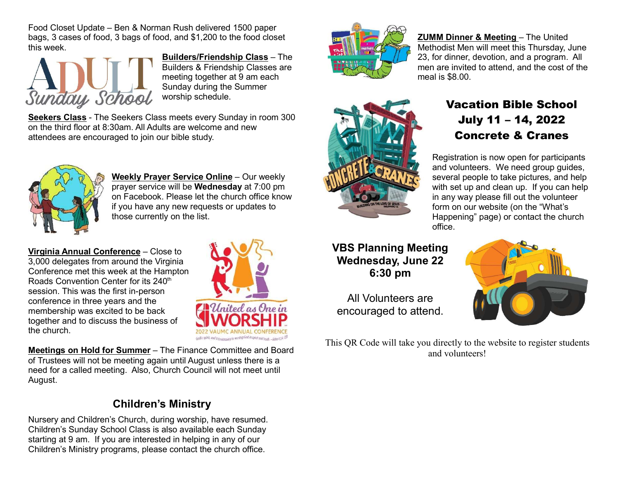Food Closet Update – Ben & Norman Rush delivered 1500 paper bags, 3 cases of food, 3 bags of food, and \$1,200 to the food closet this week.



Builders/Friendship Class – The Builders & Friendship Classes are meeting together at 9 am each Sunday during the Summer worship schedule.

Seekers Class - The Seekers Class meets every Sunday in room 300 on the third floor at 8:30am. All Adults are welcome and new attendees are encouraged to join our bible study.



Weekly Prayer Service Online - Our weekly prayer service will be Wednesday at 7:00 pm on Facebook. Please let the church office know if you have any new requests or updates to those currently on the list.

Virginia Annual Conference – Close to 3,000 delegates from around the Virginia Conference met this week at the Hampton Roads Convention Center for its 240<sup>th</sup> session. This was the first in-person conference in three years and the membership was excited to be back together and to discuss the business of the church.



Meetings on Hold for Summer – The Finance Committee and Board of Trustees will not be meeting again until August unless there is a need for a called meeting. Also, Church Council will not meet until August.

## Children's Ministry

Nursery and Children's Church, during worship, have resumed. Children's Sunday School Class is also available each Sunday starting at 9 am. If you are interested in helping in any of our Children's Ministry programs, please contact the church office.



ZUMM Dinner & Meeting – The United Methodist Men will meet this Thursday, June 23, for dinner, devotion, and a program. All men are invited to attend, and the cost of the meal is \$8.00.



VBS Planning Meeting Wednesday, June 22 6:30 pm

All Volunteers are encouraged to attend.

This QR Code will take you directly to the website to register students and volunteers!

### Vacation Bible School July 11 – 14, 2022 Concrete & Cranes

Registration is now open for participants and volunteers. We need group guides, several people to take pictures, and help with set up and clean up. If you can help in any way please fill out the volunteer form on our website (on the "What's Happening" page) or contact the church office.